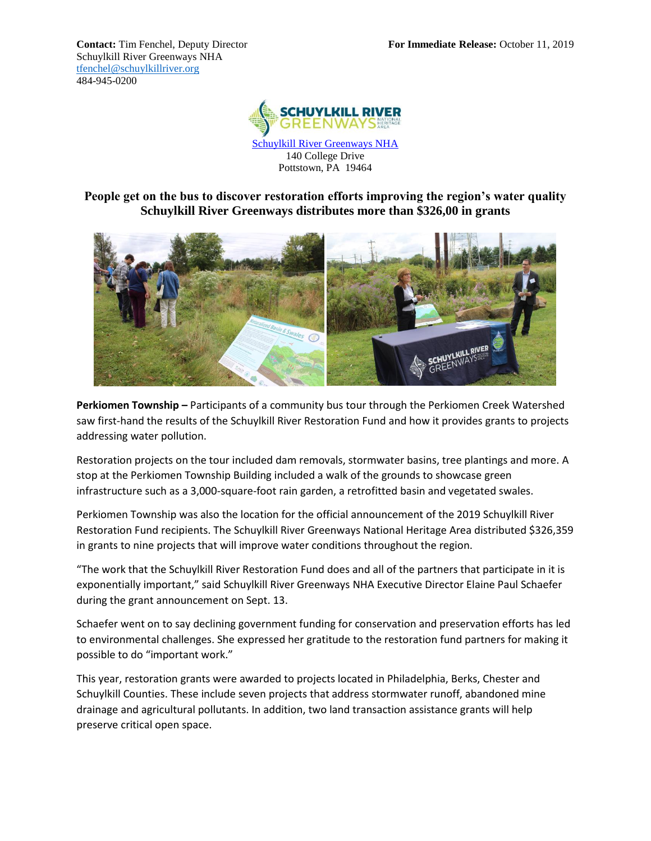Schuylkill River Greenways NHA [tfenchel@schuylkillriver.org](mailto:tfenchel@schuylkillriver.org) 484-945-0200



[Schuylkill River Greenways NHA](http://www.schuylkillriver.org/) 140 College Drive Pottstown, PA 19464

**People get on the bus to discover restoration efforts improving the region's water quality Schuylkill River Greenways distributes more than \$326,00 in grants** 



**Perkiomen Township –** Participants of a community bus tour through the Perkiomen Creek Watershed saw first-hand the results of the Schuylkill River Restoration Fund and how it provides grants to projects addressing water pollution.

Restoration projects on the tour included dam removals, stormwater basins, tree plantings and more. A stop at the Perkiomen Township Building included a walk of the grounds to showcase green infrastructure such as a 3,000-square-foot rain garden, a retrofitted basin and vegetated swales.

Perkiomen Township was also the location for the official announcement of the 2019 Schuylkill River Restoration Fund recipients. The Schuylkill River Greenways National Heritage Area distributed \$326,359 in grants to nine projects that will improve water conditions throughout the region.

"The work that the Schuylkill River Restoration Fund does and all of the partners that participate in it is exponentially important," said Schuylkill River Greenways NHA Executive Director Elaine Paul Schaefer during the grant announcement on Sept. 13.

Schaefer went on to say declining government funding for conservation and preservation efforts has led to environmental challenges. She expressed her gratitude to the restoration fund partners for making it possible to do "important work."

This year, restoration grants were awarded to projects located in Philadelphia, Berks, Chester and Schuylkill Counties. These include seven projects that address stormwater runoff, abandoned mine drainage and agricultural pollutants. In addition, two land transaction assistance grants will help preserve critical open space.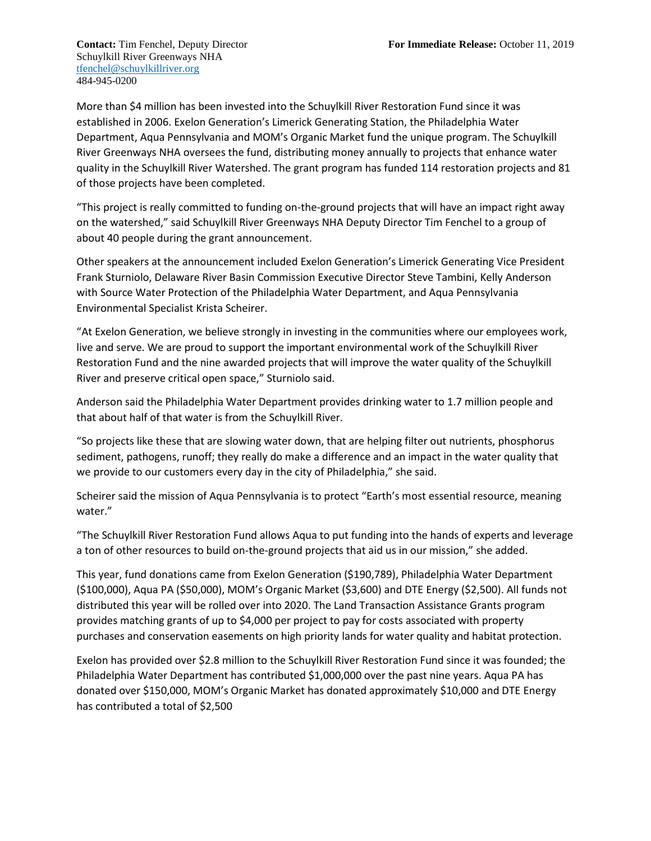Schuylkill River Greenways NHA [tfenchel@schuylkillriver.org](mailto:tfenchel@schuylkillriver.org) 484-945-0200

More than \$4 million has been invested into the Schuylkill River Restoration Fund since it was established in 2006. Exelon Generation's Limerick Generating Station, the Philadelphia Water Department, Aqua Pennsylvania and MOM's Organic Market fund the unique program. The Schuylkill River Greenways NHA oversees the fund, distributing money annually to projects that enhance water quality in the Schuylkill River Watershed. The grant program has funded 114 restoration projects and 81 of those projects have been completed.

"This project is really committed to funding on-the-ground projects that will have an impact right away on the watershed," said Schuylkill River Greenways NHA Deputy Director Tim Fenchel to a group of about 40 people during the grant announcement.

Other speakers at the announcement included Exelon Generation's Limerick Generating Vice President Frank Sturniolo, Delaware River Basin Commission Executive Director Steve Tambini, Kelly Anderson with Source Water Protection of the Philadelphia Water Department, and Aqua Pennsylvania Environmental Specialist Krista Scheirer.

"At Exelon Generation, we believe strongly in investing in the communities where our employees work, live and serve. We are proud to support the important environmental work of the Schuylkill River Restoration Fund and the nine awarded projects that will improve the water quality of the Schuylkill River and preserve critical open space," Sturniolo said.

Anderson said the Philadelphia Water Department provides drinking water to 1.7 million people and that about half of that water is from the Schuylkill River.

"So projects like these that are slowing water down, that are helping filter out nutrients, phosphorus sediment, pathogens, runoff; they really do make a difference and an impact in the water quality that we provide to our customers every day in the city of Philadelphia," she said.

Scheirer said the mission of Aqua Pennsylvania is to protect "Earth's most essential resource, meaning water."

"The Schuylkill River Restoration Fund allows Aqua to put funding into the hands of experts and leverage a ton of other resources to build on-the-ground projects that aid us in our mission," she added.

This year, fund donations came from Exelon Generation (\$190,789), Philadelphia Water Department (\$100,000), Aqua PA (\$50,000), MOM's Organic Market (\$3,600) and DTE Energy (\$2,500). All funds not distributed this year will be rolled over into 2020. The Land Transaction Assistance Grants program provides matching grants of up to \$4,000 per project to pay for costs associated with property purchases and conservation easements on high priority lands for water quality and habitat protection.

Exelon has provided over \$2.8 million to the Schuylkill River Restoration Fund since it was founded; the Philadelphia Water Department has contributed \$1,000,000 over the past nine years. Aqua PA has donated over \$150,000, MOM's Organic Market has donated approximately \$10,000 and DTE Energy has contributed a total of \$2,500